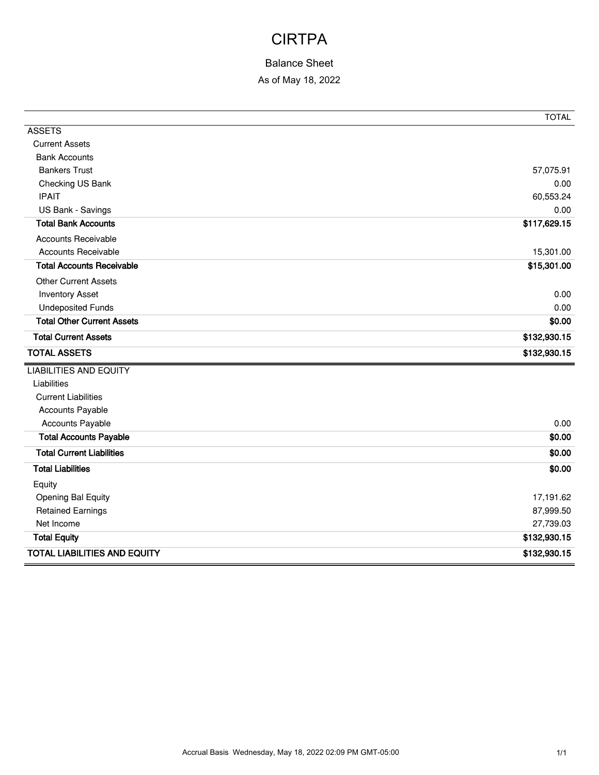## CIRTPA

### Balance Sheet

As of May 18, 2022

|                                     | <b>TOTAL</b> |
|-------------------------------------|--------------|
| <b>ASSETS</b>                       |              |
| <b>Current Assets</b>               |              |
| <b>Bank Accounts</b>                |              |
| <b>Bankers Trust</b>                | 57,075.91    |
| Checking US Bank                    | 0.00         |
| <b>IPAIT</b>                        | 60,553.24    |
| US Bank - Savings                   | 0.00         |
| <b>Total Bank Accounts</b>          | \$117,629.15 |
| Accounts Receivable                 |              |
| <b>Accounts Receivable</b>          | 15,301.00    |
| <b>Total Accounts Receivable</b>    | \$15,301.00  |
| <b>Other Current Assets</b>         |              |
| <b>Inventory Asset</b>              | 0.00         |
| <b>Undeposited Funds</b>            | 0.00         |
| <b>Total Other Current Assets</b>   | \$0.00       |
| <b>Total Current Assets</b>         | \$132,930.15 |
| <b>TOTAL ASSETS</b>                 | \$132,930.15 |
| <b>LIABILITIES AND EQUITY</b>       |              |
| Liabilities                         |              |
| <b>Current Liabilities</b>          |              |
| <b>Accounts Payable</b>             |              |
| <b>Accounts Payable</b>             | 0.00         |
| <b>Total Accounts Payable</b>       | \$0.00       |
| <b>Total Current Liabilities</b>    | \$0.00       |
| <b>Total Liabilities</b>            | \$0.00       |
| Equity                              |              |
| Opening Bal Equity                  | 17,191.62    |
| <b>Retained Earnings</b>            | 87,999.50    |
| Net Income                          | 27,739.03    |
| <b>Total Equity</b>                 | \$132,930.15 |
| <b>TOTAL LIABILITIES AND EQUITY</b> | \$132,930.15 |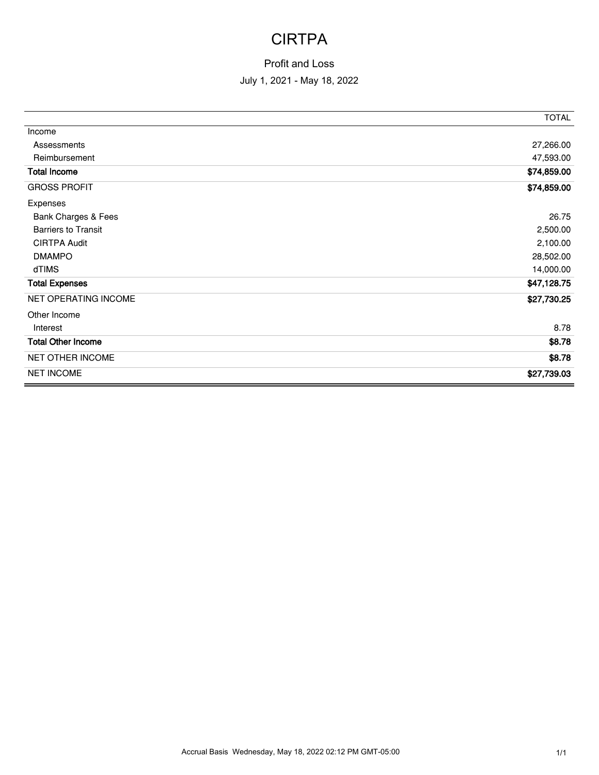# **CIRTPA**

### Profit and Loss

#### July 1, 2021 - May 18, 2022

|                            | <b>TOTAL</b> |
|----------------------------|--------------|
| Income                     |              |
| Assessments                | 27,266.00    |
| Reimbursement              | 47,593.00    |
| <b>Total Income</b>        | \$74,859.00  |
| <b>GROSS PROFIT</b>        | \$74,859.00  |
| Expenses                   |              |
| Bank Charges & Fees        | 26.75        |
| <b>Barriers to Transit</b> | 2,500.00     |
| <b>CIRTPA Audit</b>        | 2,100.00     |
| <b>DMAMPO</b>              | 28,502.00    |
| dTIMS                      | 14,000.00    |
| <b>Total Expenses</b>      | \$47,128.75  |
| NET OPERATING INCOME       | \$27,730.25  |
| Other Income               |              |
| Interest                   | 8.78         |
| <b>Total Other Income</b>  | \$8.78       |
| NET OTHER INCOME           | \$8.78       |
| <b>NET INCOME</b>          | \$27,739.03  |